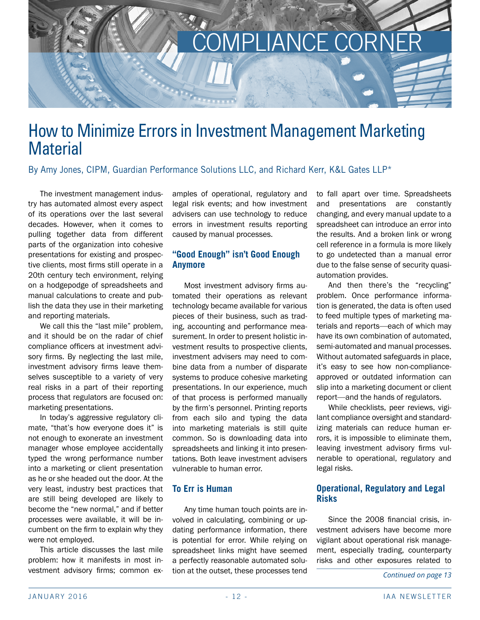

# How to Minimize Errors in Investment Management Marketing **Material**

By Amy Jones, CIPM, Guardian Performance Solutions LLC, and Richard Kerr, K&L Gates LLP\*

The investment management industry has automated almost every aspect of its operations over the last several decades. However, when it comes to pulling together data from different parts of the organization into cohesive presentations for existing and prospective clients, most firms still operate in a 20th century tech environment, relying on a hodgepodge of spreadsheets and manual calculations to create and publish the data they use in their marketing and reporting materials.

We call this the "last mile" problem, and it should be on the radar of chief compliance officers at investment advisory firms. By neglecting the last mile, investment advisory firms leave themselves susceptible to a variety of very real risks in a part of their reporting process that regulators are focused on: marketing presentations.

In today's aggressive regulatory climate, "that's how everyone does it" is not enough to exonerate an investment manager whose employee accidentally typed the wrong performance number into a marketing or client presentation as he or she headed out the door. At the very least, industry best practices that are still being developed are likely to become the "new normal," and if better processes were available, it will be incumbent on the firm to explain why they were not employed.

This article discusses the last mile problem: how it manifests in most investment advisory firms; common examples of operational, regulatory and legal risk events; and how investment advisers can use technology to reduce errors in investment results reporting caused by manual processes.

# **"Good Enough" isn't Good Enough Anymore**

Most investment advisory firms automated their operations as relevant technology became available for various pieces of their business, such as trading, accounting and performance measurement. In order to present holistic investment results to prospective clients, investment advisers may need to combine data from a number of disparate systems to produce cohesive marketing presentations. In our experience, much of that process is performed manually by the firm's personnel. Printing reports from each silo and typing the data into marketing materials is still quite common. So is downloading data into spreadsheets and linking it into presentations. Both leave investment advisers vulnerable to human error.

## **To Err is Human**

Any time human touch points are involved in calculating, combining or updating performance information, there is potential for error. While relying on spreadsheet links might have seemed a perfectly reasonable automated solution at the outset, these processes tend to fall apart over time. Spreadsheets and presentations are constantly changing, and every manual update to a spreadsheet can introduce an error into the results. And a broken link or wrong cell reference in a formula is more likely to go undetected than a manual error due to the false sense of security quasiautomation provides.

And then there's the "recycling" problem. Once performance information is generated, the data is often used to feed multiple types of marketing materials and reports—each of which may have its own combination of automated, semi-automated and manual processes. Without automated safeguards in place, it's easy to see how non-complianceapproved or outdated information can slip into a marketing document or client report—and the hands of regulators.

While checklists, peer reviews, vigilant compliance oversight and standardizing materials can reduce human errors, it is impossible to eliminate them, leaving investment advisory firms vulnerable to operational, regulatory and legal risks.

## **Operational, Regulatory and Legal Risks**

Since the 2008 financial crisis, investment advisers have become more vigilant about operational risk management, especially trading, counterparty risks and other exposures related to

*Continued on page 13*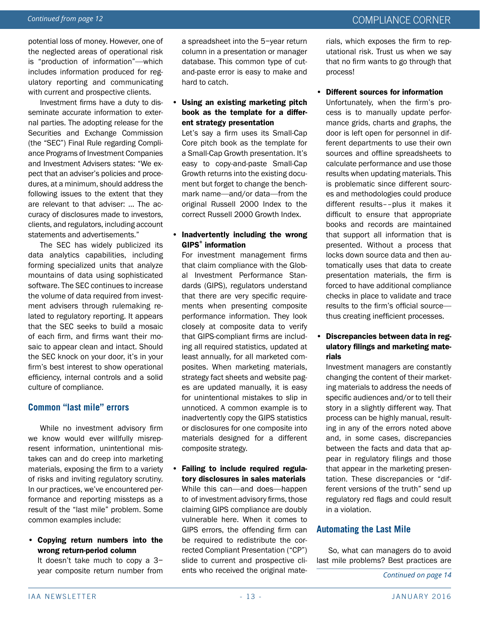potential loss of money. However, one of the neglected areas of operational risk is "production of information"—which includes information produced for regulatory reporting and communicating with current and prospective clients.

Investment firms have a duty to disseminate accurate information to external parties. The adopting release for the Securities and Exchange Commission (the "SEC") Final Rule regarding Compliance Programs of Investment Companies and Investment Advisers states: "We expect that an adviser's policies and procedures, at a minimum, should address the following issues to the extent that they are relevant to that adviser: … The accuracy of disclosures made to investors, clients, and regulators, including account statements and advertisements."

The SEC has widely publicized its data analytics capabilities, including forming specialized units that analyze mountains of data using sophisticated software. The SEC continues to increase the volume of data required from investment advisers through rulemaking related to regulatory reporting. It appears that the SEC seeks to build a mosaic of each firm, and firms want their mosaic to appear clean and intact. Should the SEC knock on your door, it's in your firm's best interest to show operational efficiency, internal controls and a solid culture of compliance.

# **Common "last mile" errors**

While no investment advisory firm we know would ever willfully misrepresent information, unintentional mistakes can and do creep into marketing materials, exposing the firm to a variety of risks and inviting regulatory scrutiny. In our practices, we've encountered performance and reporting missteps as a result of the "last mile" problem. Some common examples include:

• Copying return numbers into the wrong return-period column

It doesn't take much to copy a 3− year composite return number from a spreadsheet into the 5−year return column in a presentation or manager database. This common type of cutand-paste error is easy to make and hard to catch.

#### • Using an existing marketing pitch book as the template for a different strategy presentation

Let's say a firm uses its Small-Cap Core pitch book as the template for a Small-Cap Growth presentation. It's easy to copy-and-paste Small-Cap Growth returns into the existing document but forget to change the benchmark name—and/or data—from the original Russell 2000 Index to the correct Russell 2000 Growth Index.

#### • Inadvertently including the wrong GIPS® information

For investment management firms that claim compliance with the Global Investment Performance Standards (GIPS), regulators understand that there are very specific requirements when presenting composite performance information. They look closely at composite data to verify that GIPS-compliant firms are including all required statistics, updated at least annually, for all marketed composites. When marketing materials, strategy fact sheets and website pages are updated manually, it is easy for unintentional mistakes to slip in unnoticed. A common example is to inadvertently copy the GIPS statistics or disclosures for one composite into materials designed for a different composite strategy.

• Failing to include required regulatory disclosures in sales materials While this can—and does—happen to of investment advisory firms, those claiming GIPS compliance are doubly vulnerable here. When it comes to GIPS errors, the offending firm can be required to redistribute the corrected Compliant Presentation ("CP") slide to current and prospective clients who received the original materials, which exposes the firm to reputational risk. Trust us when we say that no firm wants to go through that process!

#### • Different sources for information

Unfortunately, when the firm's process is to manually update performance grids, charts and graphs, the door is left open for personnel in different departments to use their own sources and offline spreadsheets to calculate performance and use those results when updating materials. This is problematic since different sources and methodologies could produce different results––plus it makes it difficult to ensure that appropriate books and records are maintained that support all information that is presented. Without a process that locks down source data and then automatically uses that data to create presentation materials, the firm is forced to have additional compliance checks in place to validate and trace results to the firm's official source thus creating inefficient processes.

#### • Discrepancies between data in regulatory filings and marketing materials

Investment managers are constantly changing the content of their marketing materials to address the needs of specific audiences and/or to tell their story in a slightly different way. That process can be highly manual, resulting in any of the errors noted above and, in some cases, discrepancies between the facts and data that appear in regulatory filings and those that appear in the marketing presentation. These discrepancies or "different versions of the truth" send up regulatory red flags and could result in a violation.

## **Automating the Last Mile**

So, what can managers do to avoid last mile problems? Best practices are

*Continued on page 14*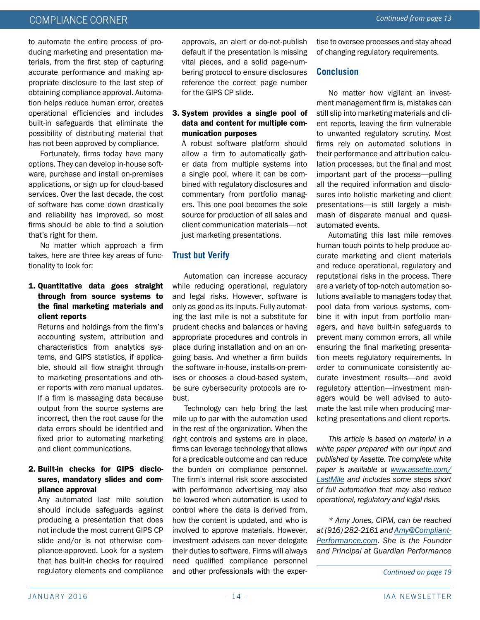# COMPLIANCE CORNER *Continued from page 13*

to automate the entire process of producing marketing and presentation materials, from the first step of capturing accurate performance and making appropriate disclosure to the last step of obtaining compliance approval. Automation helps reduce human error, creates operational efficiencies and includes built-in safeguards that eliminate the possibility of distributing material that has not been approved by compliance.

Fortunately, firms today have many options. They can develop in-house software, purchase and install on-premises applications, or sign up for cloud-based services. Over the last decade, the cost of software has come down drastically and reliability has improved, so most firms should be able to find a solution that's right for them.

No matter which approach a firm takes, here are three key areas of functionality to look for:

#### 1. Quantitative data goes straight through from source systems to the final marketing materials and client reports

Returns and holdings from the firm's accounting system, attribution and characteristics from analytics systems, and GIPS statistics, if applicable, should all flow straight through to marketing presentations and other reports with zero manual updates. If a firm is massaging data because output from the source systems are incorrect, then the root cause for the data errors should be identified and fixed prior to automating marketing and client communications.

#### 2. Built-in checks for GIPS disclosures, mandatory slides and compliance approval

Any automated last mile solution should include safeguards against producing a presentation that does not include the most current GIPS CP slide and/or is not otherwise compliance-approved. Look for a system that has built-in checks for required regulatory elements and compliance approvals, an alert or do-not-publish default if the presentation is missing vital pieces, and a solid page-numbering protocol to ensure disclosures reference the correct page number for the GIPS CP slide.

#### 3. System provides a single pool of data and content for multiple communication purposes

A robust software platform should allow a firm to automatically gather data from multiple systems into a single pool, where it can be combined with regulatory disclosures and commentary from portfolio managers. This one pool becomes the sole source for production of all sales and client communication materials—not just marketing presentations.

# **Trust but Verify**

Automation can increase accuracy while reducing operational, regulatory and legal risks. However, software is only as good as its inputs. Fully automating the last mile is not a substitute for prudent checks and balances or having appropriate procedures and controls in place during installation and on an ongoing basis. And whether a firm builds the software in-house, installs-on-premises or chooses a cloud-based system, be sure cybersecurity protocols are robust.

Technology can help bring the last mile up to par with the automation used in the rest of the organization. When the right controls and systems are in place, firms can leverage technology that allows for a predicable outcome and can reduce the burden on compliance personnel. The firm's internal risk score associated with performance advertising may also be lowered when automation is used to control where the data is derived from, how the content is updated, and who is involved to approve materials. However, investment advisers can never delegate their duties to software. Firms will always need qualified compliance personnel and other professionals with the expertise to oversee processes and stay ahead of changing regulatory requirements.

#### **Conclusion**

No matter how vigilant an investment management firm is, mistakes can still slip into marketing materials and client reports, leaving the firm vulnerable to unwanted regulatory scrutiny. Most firms rely on automated solutions in their performance and attribution calculation processes, but the final and most important part of the process—pulling all the required information and disclosures into holistic marketing and client presentations—is still largely a mishmash of disparate manual and quasiautomated events.

Automating this last mile removes human touch points to help produce accurate marketing and client materials and reduce operational, regulatory and reputational risks in the process. There are a variety of top-notch automation solutions available to managers today that pool data from various systems, combine it with input from portfolio managers, and have built-in safeguards to prevent many common errors, all while ensuring the final marketing presentation meets regulatory requirements. In order to communicate consistently accurate investment results—and avoid regulatory attention—investment managers would be well advised to automate the last mile when producing marketing presentations and client reports.

*This article is based on material in a white paper prepared with our input and published by Assette. The complete white paper is available at [www.assette.com/](http://www.assette.com/LastMile) [LastMile](http://www.assette.com/LastMile) and includes some steps short of full automation that may also reduce operational, regulatory and legal risks.* 

*\* Amy Jones, CIPM, can be reached at (916) 282-2161 and [Amy@Compliant-](mailto:Amy%40CompliantPerformance.com?subject=)[Performance.com.](mailto:Amy%40CompliantPerformance.com?subject=) She is the Founder and Principal at Guardian Performance* 

*Continued on page 19*